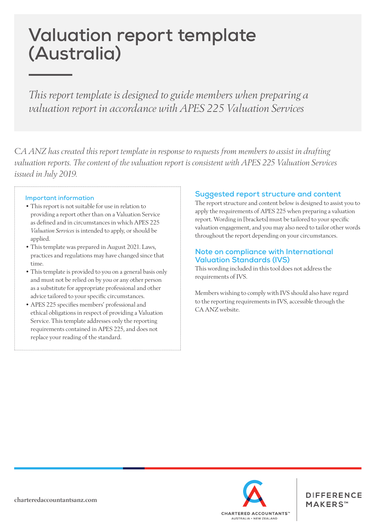# **Valuation report template (Australia)**

*This report template is designed to guide members when preparing a valuation report in accordance with APES 225 Valuation Services*

*CA ANZ has created this report template in response to requests from members to assist in drafting valuation reports. The content of the valuation report is consistent with APES 225 Valuation Services issued in July 2019.*

## **Important information**

- This report is not suitable for use in relation to providing a report other than on a Valuation Service as defined and in circumstances in which APES 225 *Valuation Services* is intended to apply, or should be applied.
- This template was prepared in August 2021. Laws, practices and regulations may have changed since that time.
- This template is provided to you on a general basis only and must not be relied on by you or any other person as a substitute for appropriate professional and other advice tailored to your specific circumstances.
- APES 225 specifies members' professional and ethical obligations in respect of providing a Valuation Service. This template addresses only the reporting requirements contained in APES 225, and does not replace your reading of the standard.

## **Suggested report structure and content**

The report structure and content below is designed to assist you to apply the requirements of APES 225 when preparing a valuation report. Wording in [brackets] must be tailored to your specific valuation engagement, and you may also need to tailor other words throughout the report depending on your circumstances.

## **Note on compliance with International Valuation Standards (IVS)**

This wording included in this tool does not address the requirements of IVS.

Members wishing to comply with IVS should also have regard to the reporting requirements in IVS, accessible through the CA ANZ website.



**DIFFERENCE** MAKERS™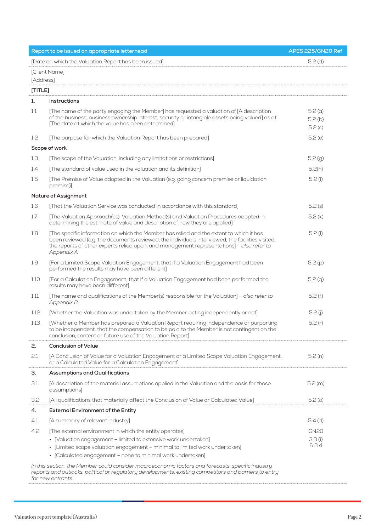| Report to be issued on appropriate letterhead                                                                                                                                                                                    |                                                                                                                                                                                                                                                                                                        | APES 225/GN20 Ref          |  |  |
|----------------------------------------------------------------------------------------------------------------------------------------------------------------------------------------------------------------------------------|--------------------------------------------------------------------------------------------------------------------------------------------------------------------------------------------------------------------------------------------------------------------------------------------------------|----------------------------|--|--|
| [Date on which the Valuation Report has been issued]                                                                                                                                                                             |                                                                                                                                                                                                                                                                                                        | $5.2$ (d)                  |  |  |
| [Client Name]<br>[Address]                                                                                                                                                                                                       |                                                                                                                                                                                                                                                                                                        |                            |  |  |
| [TIME]                                                                                                                                                                                                                           |                                                                                                                                                                                                                                                                                                        |                            |  |  |
| 1.                                                                                                                                                                                                                               | <b>Instructions</b>                                                                                                                                                                                                                                                                                    |                            |  |  |
| 1.1                                                                                                                                                                                                                              | [The name of the party engaging the Member] has requested a valuation of [A description<br>of the business, business ownership interest, security or intangible assets being valued] as at<br>[The date at which the value has been determined]                                                        | 5.2(a)<br>5.2(b)<br>5.2(c) |  |  |
| 1.2                                                                                                                                                                                                                              | [The purpose for which the Valuation Report has been prepared]                                                                                                                                                                                                                                         | 5.2(e)                     |  |  |
| Scope of work                                                                                                                                                                                                                    |                                                                                                                                                                                                                                                                                                        |                            |  |  |
| 1.3                                                                                                                                                                                                                              | [The scope of the Valuation, including any limitations or restrictions]                                                                                                                                                                                                                                | 5.2(g)                     |  |  |
| 1.4                                                                                                                                                                                                                              | [The standard of value used in the valuation and its definition]                                                                                                                                                                                                                                       | 5.2(h)                     |  |  |
| $1.5\,$                                                                                                                                                                                                                          | [The Premise of Value adopted in the Valuation (e.g. going concern premise or liquidation<br>premise)]                                                                                                                                                                                                 | 5.2(i)                     |  |  |
| Nature of Assignment                                                                                                                                                                                                             |                                                                                                                                                                                                                                                                                                        |                            |  |  |
| 1.6                                                                                                                                                                                                                              | [That the Valuation Service was conducted in accordance with this standard]                                                                                                                                                                                                                            | 5.2(s)                     |  |  |
| 1.7                                                                                                                                                                                                                              | [The Valuation Approach(es), Valuation Method(s) and Valuation Procedures adopted in<br>determining the estimate of value and description of how they are applied]                                                                                                                                     | 5.2(k)                     |  |  |
| 1.8                                                                                                                                                                                                                              | [The specific information on which the Member has relied and the extent to which it has<br>been reviewed (e.g. the documents reviewed, the individuals interviewed, the facilities visited,<br>the reports of other experts relied upon, and management representations] - also refer to<br>Appendix A | 5.2(1)                     |  |  |
| 1.9                                                                                                                                                                                                                              | [For a Limited Scope Valuation Engagement, that if a Valuation Engagement had been<br>performed the results may have been different]                                                                                                                                                                   | 5.2(p)                     |  |  |
| 1.10                                                                                                                                                                                                                             | [For a Calculation Engagement, that if a Valuation Engagement had been performed the<br>results may have been different]                                                                                                                                                                               | 5.2(q)                     |  |  |
| 1.11                                                                                                                                                                                                                             | [The name and qualifications of the Member(s) responsible for the Valuation] - also refer to<br>Appendix B                                                                                                                                                                                             | 5.2(f)                     |  |  |
| 1.12                                                                                                                                                                                                                             | [Whether the Valuation was undertaken by the Member acting independently or not]                                                                                                                                                                                                                       | 5.2(j)                     |  |  |
| 1.13                                                                                                                                                                                                                             | [Whether a Member has prepared a Valuation Report requiring Independence or purporting<br>to be independent, that the compensation to be paid to the Member is not contingent on the<br>conclusion, content or future use of the Valuation Report]                                                     | 5.2(r)                     |  |  |
| 2.                                                                                                                                                                                                                               | <b>Conclusion of Value</b>                                                                                                                                                                                                                                                                             |                            |  |  |
| 2.1                                                                                                                                                                                                                              | [A Conclusion of Value for a Valuation Engagement or a Limited Scope Valuation Engagement,<br>or a Calculated Value for a Calculation Engagement]                                                                                                                                                      | 5.2(n)                     |  |  |
| З.                                                                                                                                                                                                                               | <b>Assumptions and Qualifications</b>                                                                                                                                                                                                                                                                  |                            |  |  |
| 3.1                                                                                                                                                                                                                              | [A description of the material assumptions applied in the Valuation and the basis for those<br>assumptions]                                                                                                                                                                                            | 5.2(m)                     |  |  |
| 3.2                                                                                                                                                                                                                              | [All qualifications that materially affect the Conclusion of Value or Calculated Value]                                                                                                                                                                                                                | 5.2 <sub>(o)</sub>         |  |  |
| 4.                                                                                                                                                                                                                               | <b>External Environment of the Entity</b>                                                                                                                                                                                                                                                              |                            |  |  |
| 4.1                                                                                                                                                                                                                              | [A summary of relevant industry]                                                                                                                                                                                                                                                                       | $5.4$ (d)                  |  |  |
| 4.2                                                                                                                                                                                                                              | [The external environment in which the entity operates]                                                                                                                                                                                                                                                | <b>GN20</b>                |  |  |
|                                                                                                                                                                                                                                  | · [Valuation engagement - limited to extensive work undertaken]                                                                                                                                                                                                                                        | 3.3(i)                     |  |  |
|                                                                                                                                                                                                                                  | · [Limited scope valuation engagement - minimal to limited work undertaken]<br>· [Calculated engagement - none to minimal work undertaken]                                                                                                                                                             | 83.4                       |  |  |
| In this section, the Member could consider macroeconomic factors and forecasts, specific industry<br>reports and outlooks, political or regulatory developments, existing competitors and barriers to entry<br>for new entrants. |                                                                                                                                                                                                                                                                                                        |                            |  |  |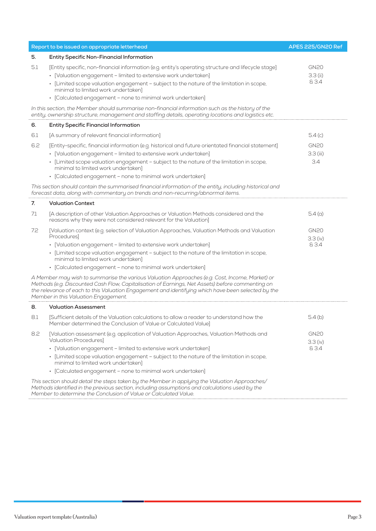| Report to be issued on appropriate letterhead                                                                                                                                                             |                                                                                                                                                                                                                                                                                                                                                                                              | APES 225/GN20 Ref                  |
|-----------------------------------------------------------------------------------------------------------------------------------------------------------------------------------------------------------|----------------------------------------------------------------------------------------------------------------------------------------------------------------------------------------------------------------------------------------------------------------------------------------------------------------------------------------------------------------------------------------------|------------------------------------|
| 5.                                                                                                                                                                                                        | <b>Entity Specific Non-Financial Information</b>                                                                                                                                                                                                                                                                                                                                             |                                    |
| 5.1                                                                                                                                                                                                       | [Entity specific, non-financial information (e.g. entity's operating structure and lifecycle stage]<br>· [Valuation engagement - limited to extensive work undertaken]<br>• [Limited scope valuation engagement - subject to the nature of the limitation in scope,<br>minimal to limited work undertaken]<br>• [Calculated engagement - none to minimal work undertaken]                    | <b>GN20</b><br>$3.3$ (ii)<br>& 3.4 |
| In this section, the Member should summarise non-financial information such as the history of the<br>entity, ownership structure, management and staffing details, operating locations and logistics etc. |                                                                                                                                                                                                                                                                                                                                                                                              |                                    |
| 6.                                                                                                                                                                                                        | <b>Entity Specific Financial Information</b>                                                                                                                                                                                                                                                                                                                                                 |                                    |
| 6.1                                                                                                                                                                                                       | [A summary of relevant financial information]                                                                                                                                                                                                                                                                                                                                                | 5.4(c)                             |
| 6.2                                                                                                                                                                                                       | [Entity-specific, financial information (e.g. historical and future orientated financial statement]<br>• [Valuation engagement - limited to extensive work undertaken]<br>· [Limited scope valuation engagement - subject to the nature of the limitation in scope,<br>minimal to limited work undertaken]<br>• [Calculated engagement - none to minimal work undertaken]                    | <b>GN20</b><br>3.3 (iii)<br>3.4    |
|                                                                                                                                                                                                           | This section should contain the summarised financial information of the entity, including historical and<br>forecast data, along with commentary on trends and non-recurring/abnormal items.                                                                                                                                                                                                 |                                    |
| 7.                                                                                                                                                                                                        | <b>Valuation Context</b>                                                                                                                                                                                                                                                                                                                                                                     |                                    |
| 7.1                                                                                                                                                                                                       | [A description of other Valuation Approaches or Valuation Methods considered and the<br>reasons why they were not considered relevant for the Valuation]                                                                                                                                                                                                                                     | 5.4(a)                             |
| 7.2                                                                                                                                                                                                       | [Valuation context (e.g. selection of Valuation Approaches, Valuation Methods and Valuation<br><b>Procedures</b><br>• [Valuation engagement - limited to extensive work undertaken]<br>· [Limited scope valuation engagement - subject to the nature of the limitation in scope,<br>minimal to limited work undertaken]<br>• [Calculated engagement - none to minimal work undertaken]       | <b>GN20</b><br>3.3 (iv)<br>& 3.4   |
|                                                                                                                                                                                                           | A Member may wish to summarise the various Valuation Approaches (e.g. Cost, Income, Market) or<br>Methods (e.g. Discounted Cash Flow, Capitalisation of Earnings, Net Assets) before commenting on<br>the relevance of each to this Valuation Engagement and identifying which have been selected by the<br>Member in this Valuation Engagement.                                             |                                    |
| 8.                                                                                                                                                                                                        | <b>Valuation Assessment</b>                                                                                                                                                                                                                                                                                                                                                                  |                                    |
| 8.1                                                                                                                                                                                                       | [Sufficient details of the Valuation calculations to allow a reader to understand how the<br>Member determined the Conclusion of Value or Calculated Value]                                                                                                                                                                                                                                  | 5.4(b)                             |
| 8.2                                                                                                                                                                                                       | [Valuation assessment (e.g. application of Valuation Approaches, Valuation Methods and<br><b>Valuation Procedures]</b><br>• [Valuation engagement - limited to extensive work undertaken]<br>• [Limited scope valuation engagement - subject to the nature of the limitation in scope,<br>minimal to limited work undertaken]<br>• [Calculated engagement - none to minimal work undertaken] | <b>GN20</b><br>3.3 (iv)<br>& 3.4   |
|                                                                                                                                                                                                           | This section should detail the steps taken by the Member in applying the Valuation Approaches/<br>Methods identified in the previous section, including assumptions and calculations used by the<br>Member to determine the Conclusion of Value or Calculated Value.                                                                                                                         |                                    |